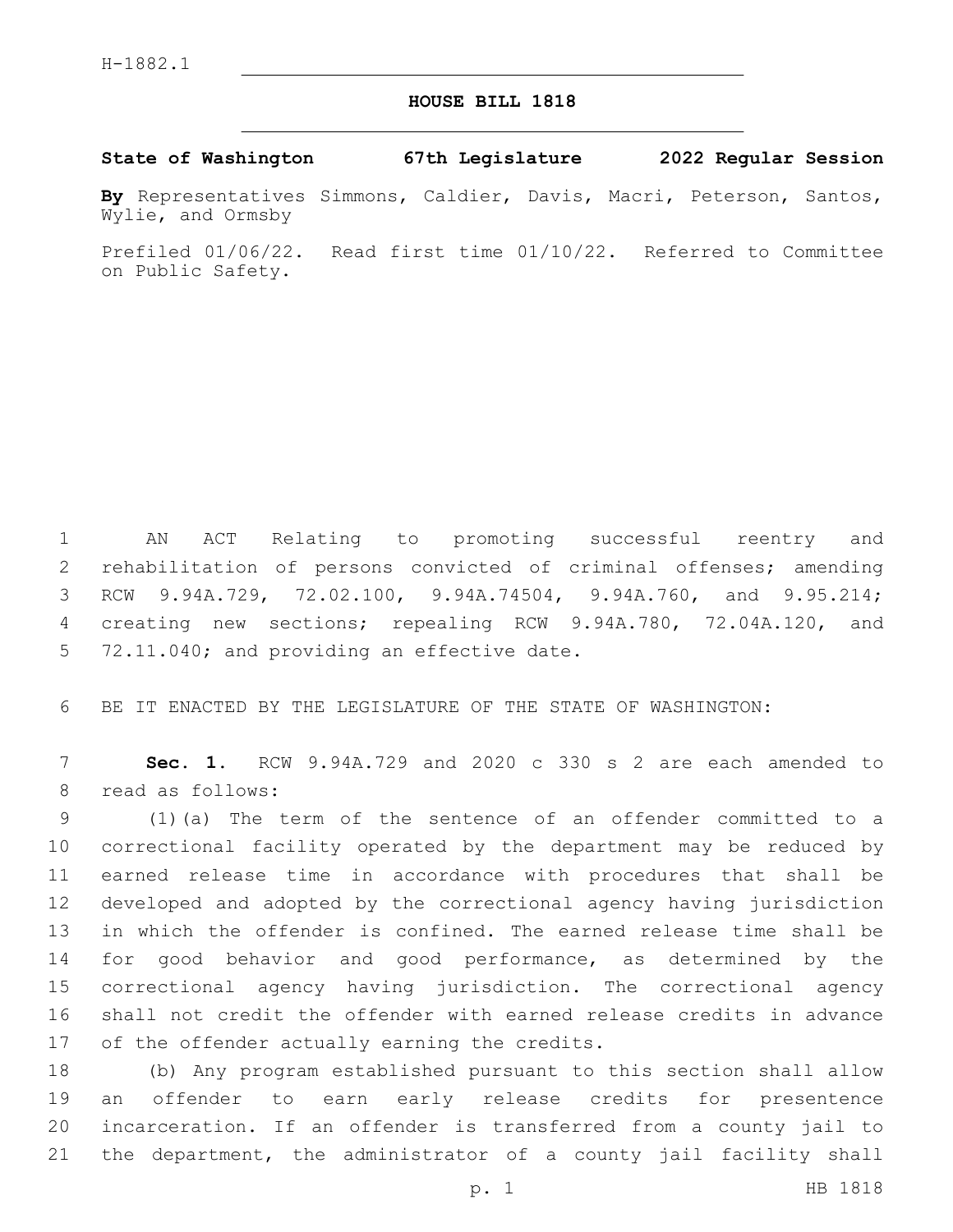## **HOUSE BILL 1818**

**State of Washington 67th Legislature 2022 Regular Session**

**By** Representatives Simmons, Caldier, Davis, Macri, Peterson, Santos, Wylie, and Ormsby

Prefiled 01/06/22. Read first time 01/10/22. Referred to Committee on Public Safety.

 AN ACT Relating to promoting successful reentry and rehabilitation of persons convicted of criminal offenses; amending RCW 9.94A.729, 72.02.100, 9.94A.74504, 9.94A.760, and 9.95.214; creating new sections; repealing RCW 9.94A.780, 72.04A.120, and 5 72.11.040; and providing an effective date.

BE IT ENACTED BY THE LEGISLATURE OF THE STATE OF WASHINGTON:

 **Sec. 1.** RCW 9.94A.729 and 2020 c 330 s 2 are each amended to 8 read as follows:

 (1)(a) The term of the sentence of an offender committed to a correctional facility operated by the department may be reduced by earned release time in accordance with procedures that shall be developed and adopted by the correctional agency having jurisdiction in which the offender is confined. The earned release time shall be for good behavior and good performance, as determined by the correctional agency having jurisdiction. The correctional agency shall not credit the offender with earned release credits in advance 17 of the offender actually earning the credits.

 (b) Any program established pursuant to this section shall allow an offender to earn early release credits for presentence incarceration. If an offender is transferred from a county jail to the department, the administrator of a county jail facility shall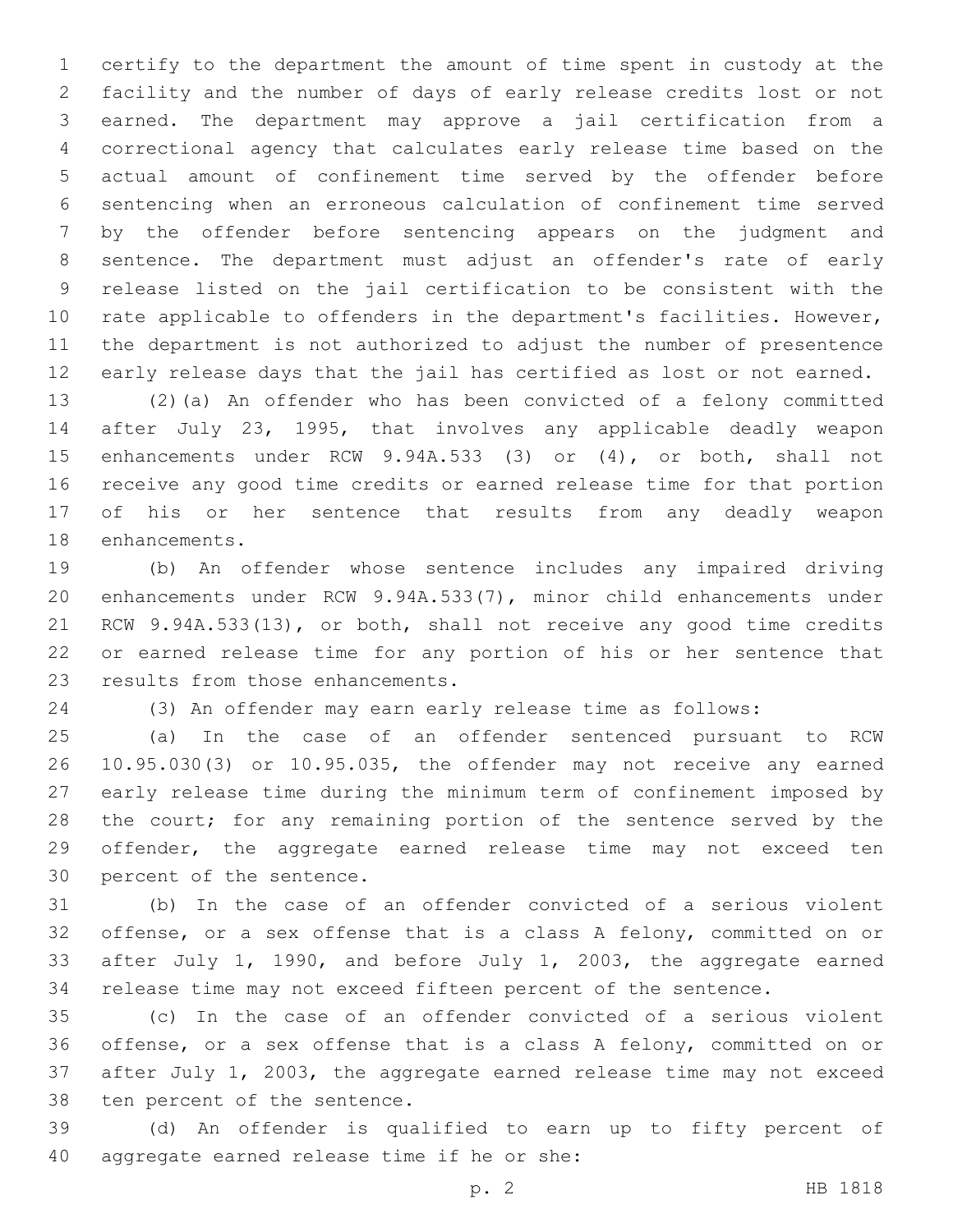certify to the department the amount of time spent in custody at the facility and the number of days of early release credits lost or not earned. The department may approve a jail certification from a correctional agency that calculates early release time based on the actual amount of confinement time served by the offender before sentencing when an erroneous calculation of confinement time served by the offender before sentencing appears on the judgment and sentence. The department must adjust an offender's rate of early release listed on the jail certification to be consistent with the rate applicable to offenders in the department's facilities. However, the department is not authorized to adjust the number of presentence early release days that the jail has certified as lost or not earned.

 (2)(a) An offender who has been convicted of a felony committed after July 23, 1995, that involves any applicable deadly weapon enhancements under RCW 9.94A.533 (3) or (4), or both, shall not receive any good time credits or earned release time for that portion of his or her sentence that results from any deadly weapon 18 enhancements.

 (b) An offender whose sentence includes any impaired driving enhancements under RCW 9.94A.533(7), minor child enhancements under RCW 9.94A.533(13), or both, shall not receive any good time credits or earned release time for any portion of his or her sentence that 23 results from those enhancements.

(3) An offender may earn early release time as follows:

 (a) In the case of an offender sentenced pursuant to RCW 10.95.030(3) or 10.95.035, the offender may not receive any earned early release time during the minimum term of confinement imposed by 28 the court; for any remaining portion of the sentence served by the offender, the aggregate earned release time may not exceed ten 30 percent of the sentence.

 (b) In the case of an offender convicted of a serious violent offense, or a sex offense that is a class A felony, committed on or after July 1, 1990, and before July 1, 2003, the aggregate earned release time may not exceed fifteen percent of the sentence.

 (c) In the case of an offender convicted of a serious violent offense, or a sex offense that is a class A felony, committed on or after July 1, 2003, the aggregate earned release time may not exceed 38 ten percent of the sentence.

 (d) An offender is qualified to earn up to fifty percent of 40 aggregate earned release time if he or she: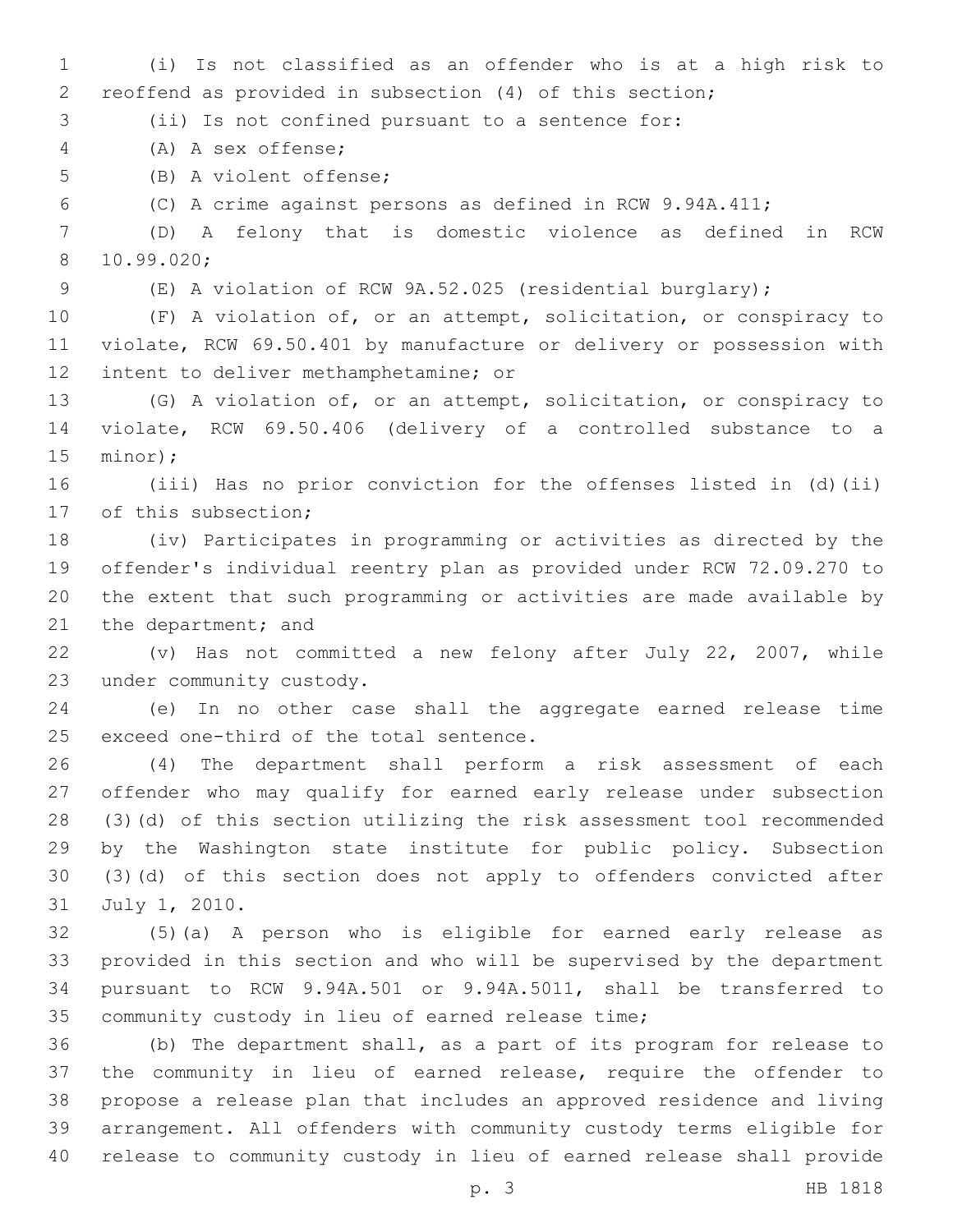(i) Is not classified as an offender who is at a high risk to reoffend as provided in subsection (4) of this section;

(ii) Is not confined pursuant to a sentence for:

(A) A sex offense;4

5 (B) A violent offense;

(C) A crime against persons as defined in RCW 9.94A.411;

 (D) A felony that is domestic violence as defined in RCW 10.99.020;8

(E) A violation of RCW 9A.52.025 (residential burglary);

 (F) A violation of, or an attempt, solicitation, or conspiracy to violate, RCW 69.50.401 by manufacture or delivery or possession with 12 intent to deliver methamphetamine; or

 (G) A violation of, or an attempt, solicitation, or conspiracy to violate, RCW 69.50.406 (delivery of a controlled substance to a 15 minor);

 (iii) Has no prior conviction for the offenses listed in (d)(ii) 17 of this subsection;

 (iv) Participates in programming or activities as directed by the offender's individual reentry plan as provided under RCW 72.09.270 to the extent that such programming or activities are made available by 21 the department; and

 (v) Has not committed a new felony after July 22, 2007, while 23 under community custody.

 (e) In no other case shall the aggregate earned release time 25 exceed one-third of the total sentence.

 (4) The department shall perform a risk assessment of each offender who may qualify for earned early release under subsection (3)(d) of this section utilizing the risk assessment tool recommended by the Washington state institute for public policy. Subsection (3)(d) of this section does not apply to offenders convicted after 31 July 1, 2010.

 (5)(a) A person who is eligible for earned early release as provided in this section and who will be supervised by the department pursuant to RCW 9.94A.501 or 9.94A.5011, shall be transferred to 35 community custody in lieu of earned release time;

 (b) The department shall, as a part of its program for release to the community in lieu of earned release, require the offender to propose a release plan that includes an approved residence and living arrangement. All offenders with community custody terms eligible for release to community custody in lieu of earned release shall provide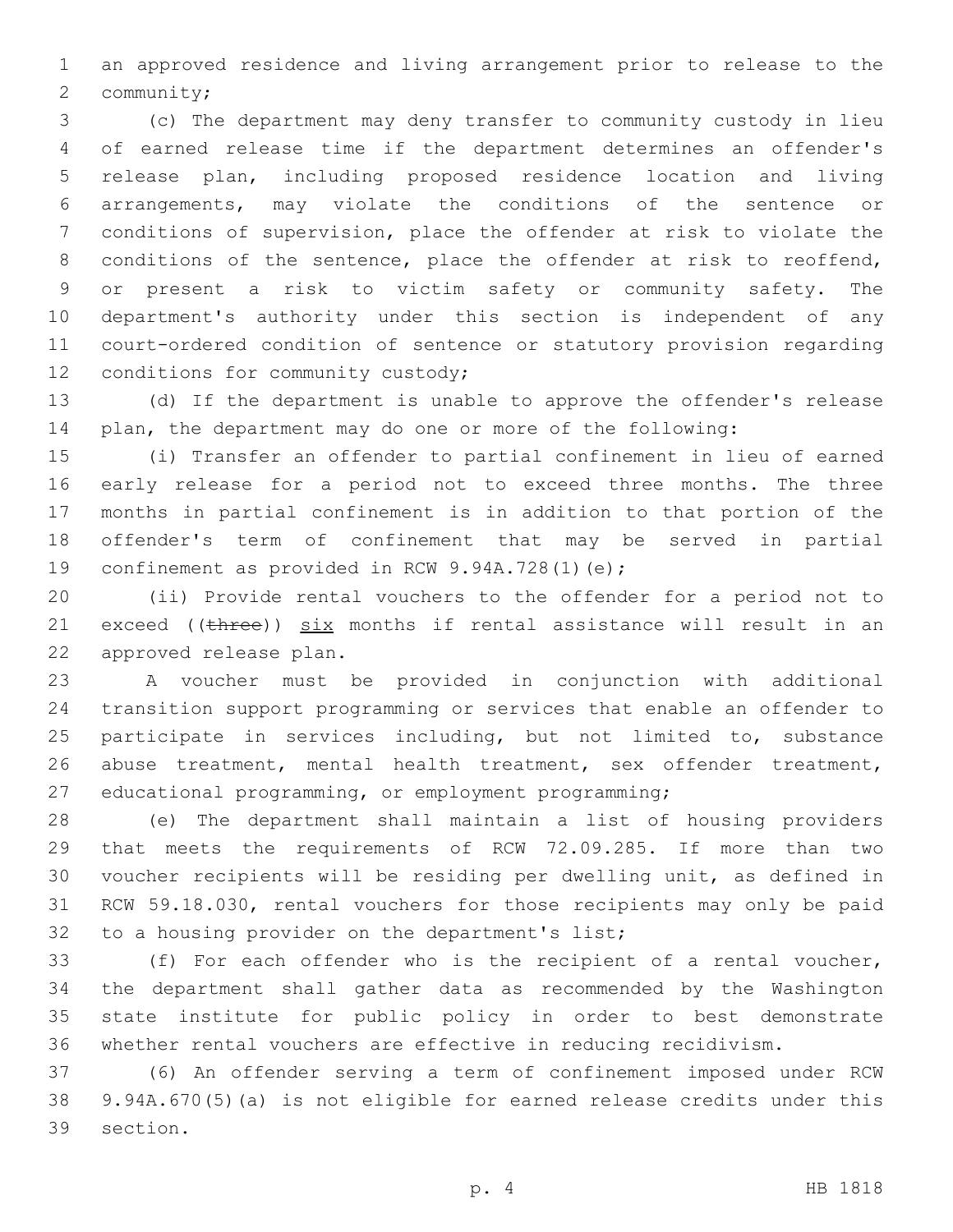an approved residence and living arrangement prior to release to the 2 community;

 (c) The department may deny transfer to community custody in lieu of earned release time if the department determines an offender's release plan, including proposed residence location and living arrangements, may violate the conditions of the sentence or conditions of supervision, place the offender at risk to violate the 8 conditions of the sentence, place the offender at risk to reoffend, or present a risk to victim safety or community safety. The department's authority under this section is independent of any court-ordered condition of sentence or statutory provision regarding 12 conditions for community custody;

 (d) If the department is unable to approve the offender's release plan, the department may do one or more of the following:

 (i) Transfer an offender to partial confinement in lieu of earned early release for a period not to exceed three months. The three months in partial confinement is in addition to that portion of the offender's term of confinement that may be served in partial 19 confinement as provided in RCW 9.94A.728(1)(e);

 (ii) Provide rental vouchers to the offender for a period not to 21 exceed ((three)) six months if rental assistance will result in an 22 approved release plan.

 A voucher must be provided in conjunction with additional transition support programming or services that enable an offender to 25 participate in services including, but not limited to, substance abuse treatment, mental health treatment, sex offender treatment, educational programming, or employment programming;

 (e) The department shall maintain a list of housing providers that meets the requirements of RCW 72.09.285. If more than two voucher recipients will be residing per dwelling unit, as defined in RCW 59.18.030, rental vouchers for those recipients may only be paid 32 to a housing provider on the department's list;

 (f) For each offender who is the recipient of a rental voucher, the department shall gather data as recommended by the Washington state institute for public policy in order to best demonstrate whether rental vouchers are effective in reducing recidivism.

 (6) An offender serving a term of confinement imposed under RCW 9.94A.670(5)(a) is not eligible for earned release credits under this 39 section.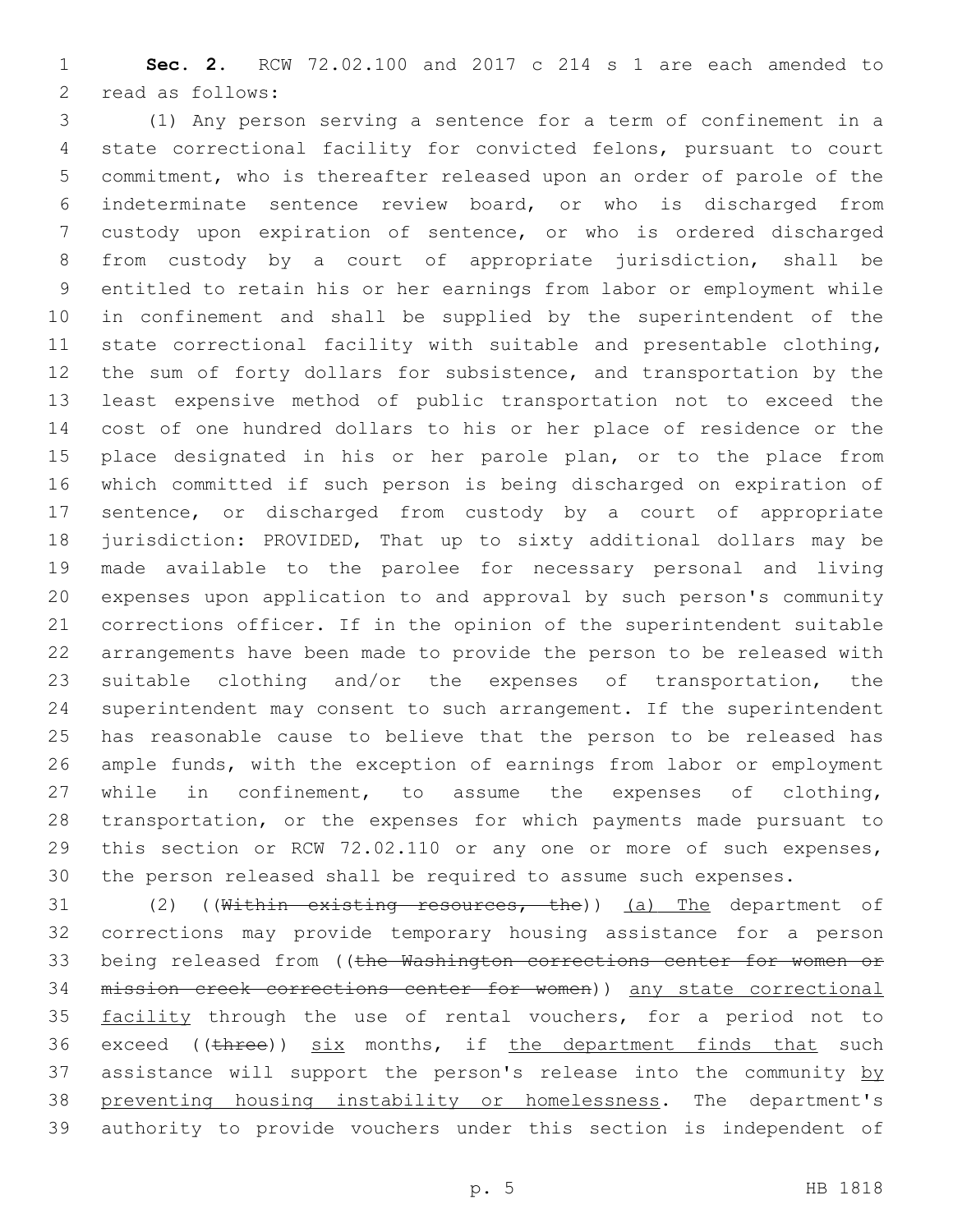**Sec. 2.** RCW 72.02.100 and 2017 c 214 s 1 are each amended to 2 read as follows:

 (1) Any person serving a sentence for a term of confinement in a state correctional facility for convicted felons, pursuant to court commitment, who is thereafter released upon an order of parole of the indeterminate sentence review board, or who is discharged from custody upon expiration of sentence, or who is ordered discharged from custody by a court of appropriate jurisdiction, shall be entitled to retain his or her earnings from labor or employment while in confinement and shall be supplied by the superintendent of the state correctional facility with suitable and presentable clothing, the sum of forty dollars for subsistence, and transportation by the least expensive method of public transportation not to exceed the cost of one hundred dollars to his or her place of residence or the 15 place designated in his or her parole plan, or to the place from which committed if such person is being discharged on expiration of sentence, or discharged from custody by a court of appropriate jurisdiction: PROVIDED, That up to sixty additional dollars may be made available to the parolee for necessary personal and living expenses upon application to and approval by such person's community corrections officer. If in the opinion of the superintendent suitable arrangements have been made to provide the person to be released with suitable clothing and/or the expenses of transportation, the superintendent may consent to such arrangement. If the superintendent has reasonable cause to believe that the person to be released has ample funds, with the exception of earnings from labor or employment while in confinement, to assume the expenses of clothing, transportation, or the expenses for which payments made pursuant to this section or RCW 72.02.110 or any one or more of such expenses, the person released shall be required to assume such expenses.

31 (2) ((Within existing resources, the)) (a) The department of corrections may provide temporary housing assistance for a person 33 being released from ((the Washington corrections center for women or mission creek corrections center for women)) any state correctional 35 facility through the use of rental vouchers, for a period not to 36 exceed ((three)) six months, if the department finds that such 37 assistance will support the person's release into the community by 38 preventing housing instability or homelessness. The department's authority to provide vouchers under this section is independent of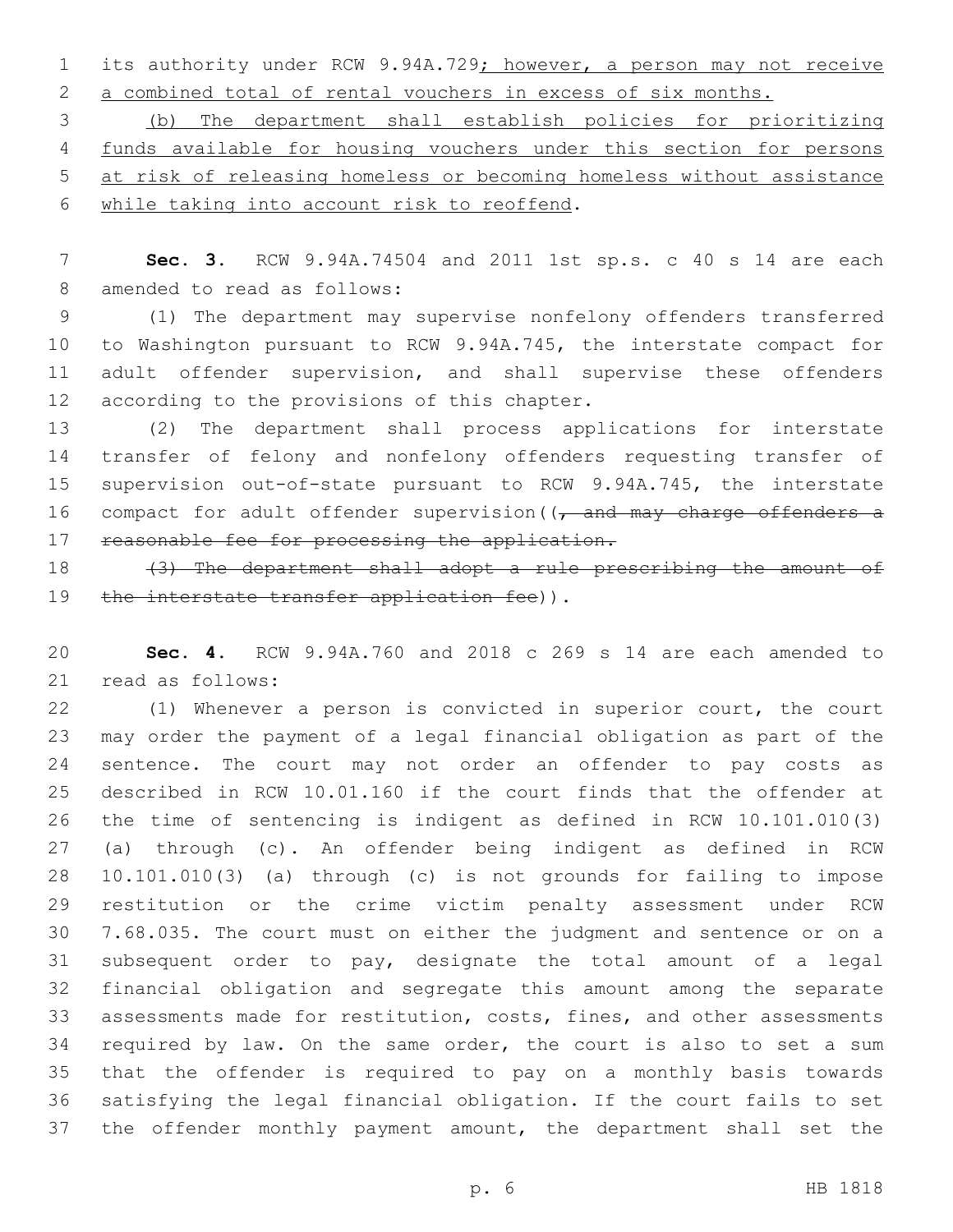its authority under RCW 9.94A.729; however, a person may not receive a combined total of rental vouchers in excess of six months.

 (b) The department shall establish policies for prioritizing funds available for housing vouchers under this section for persons at risk of releasing homeless or becoming homeless without assistance 6 while taking into account risk to reoffend.

 **Sec. 3.** RCW 9.94A.74504 and 2011 1st sp.s. c 40 s 14 are each 8 amended to read as follows:

 (1) The department may supervise nonfelony offenders transferred to Washington pursuant to RCW 9.94A.745, the interstate compact for adult offender supervision, and shall supervise these offenders 12 according to the provisions of this chapter.

 (2) The department shall process applications for interstate transfer of felony and nonfelony offenders requesting transfer of supervision out-of-state pursuant to RCW 9.94A.745, the interstate 16 compact for adult offender supervision  $(7 -$ and may charge offenders a 17 reasonable fee for processing the application.

 (3) The department shall adopt a rule prescribing the amount of 19 the interstate transfer application fee)).

 **Sec. 4.** RCW 9.94A.760 and 2018 c 269 s 14 are each amended to 21 read as follows:

 (1) Whenever a person is convicted in superior court, the court may order the payment of a legal financial obligation as part of the sentence. The court may not order an offender to pay costs as described in RCW 10.01.160 if the court finds that the offender at the time of sentencing is indigent as defined in RCW 10.101.010(3) (a) through (c). An offender being indigent as defined in RCW 10.101.010(3) (a) through (c) is not grounds for failing to impose restitution or the crime victim penalty assessment under RCW 7.68.035. The court must on either the judgment and sentence or on a subsequent order to pay, designate the total amount of a legal financial obligation and segregate this amount among the separate assessments made for restitution, costs, fines, and other assessments required by law. On the same order, the court is also to set a sum that the offender is required to pay on a monthly basis towards satisfying the legal financial obligation. If the court fails to set the offender monthly payment amount, the department shall set the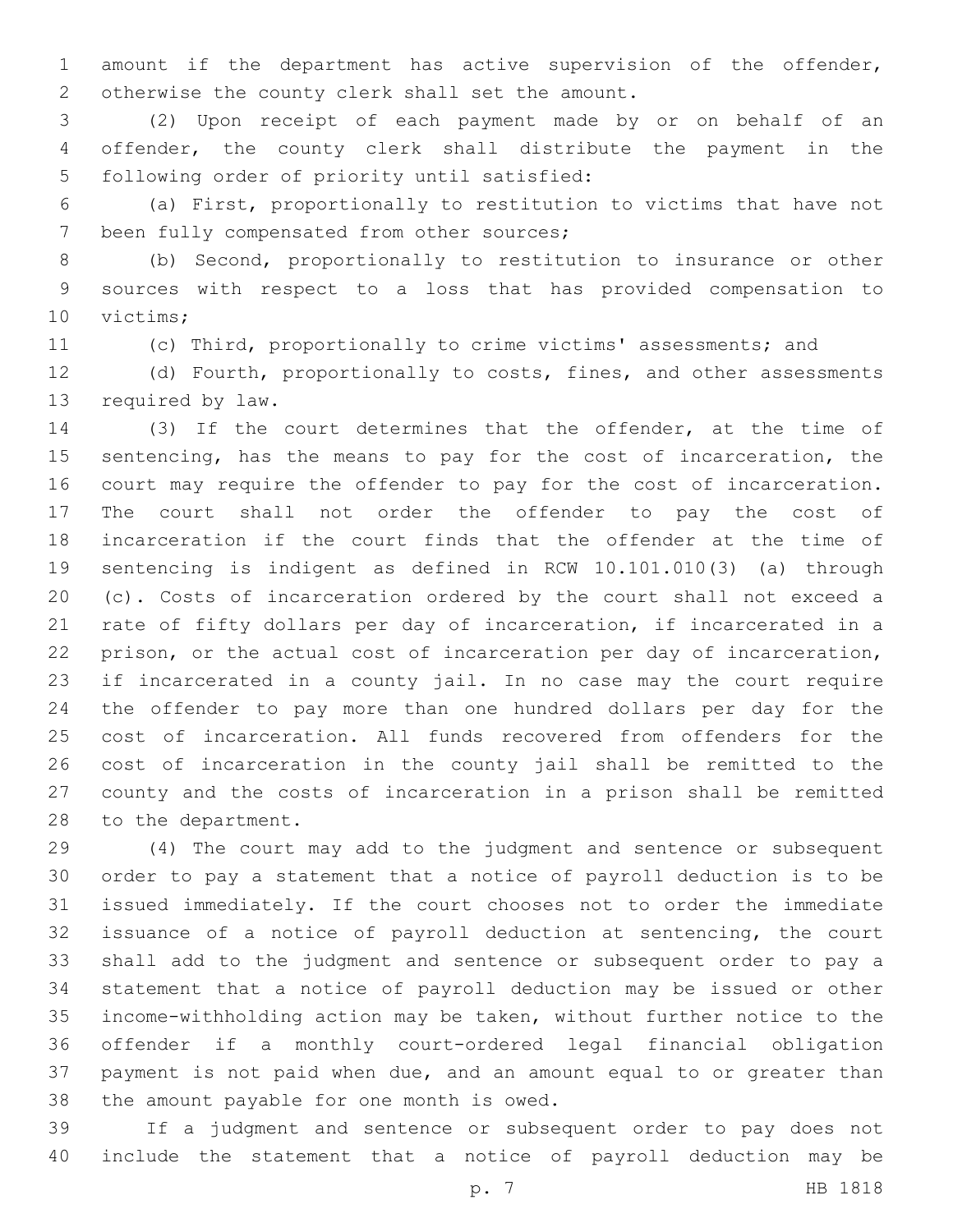amount if the department has active supervision of the offender, 2 otherwise the county clerk shall set the amount.

 (2) Upon receipt of each payment made by or on behalf of an offender, the county clerk shall distribute the payment in the 5 following order of priority until satisfied:

 (a) First, proportionally to restitution to victims that have not 7 been fully compensated from other sources;

 (b) Second, proportionally to restitution to insurance or other sources with respect to a loss that has provided compensation to 10 victims;

(c) Third, proportionally to crime victims' assessments; and

 (d) Fourth, proportionally to costs, fines, and other assessments 13 required by law.

 (3) If the court determines that the offender, at the time of sentencing, has the means to pay for the cost of incarceration, the court may require the offender to pay for the cost of incarceration. The court shall not order the offender to pay the cost of incarceration if the court finds that the offender at the time of sentencing is indigent as defined in RCW 10.101.010(3) (a) through (c). Costs of incarceration ordered by the court shall not exceed a rate of fifty dollars per day of incarceration, if incarcerated in a prison, or the actual cost of incarceration per day of incarceration, if incarcerated in a county jail. In no case may the court require the offender to pay more than one hundred dollars per day for the cost of incarceration. All funds recovered from offenders for the cost of incarceration in the county jail shall be remitted to the county and the costs of incarceration in a prison shall be remitted 28 to the department.

 (4) The court may add to the judgment and sentence or subsequent order to pay a statement that a notice of payroll deduction is to be issued immediately. If the court chooses not to order the immediate issuance of a notice of payroll deduction at sentencing, the court shall add to the judgment and sentence or subsequent order to pay a statement that a notice of payroll deduction may be issued or other income-withholding action may be taken, without further notice to the offender if a monthly court-ordered legal financial obligation payment is not paid when due, and an amount equal to or greater than 38 the amount payable for one month is owed.

 If a judgment and sentence or subsequent order to pay does not include the statement that a notice of payroll deduction may be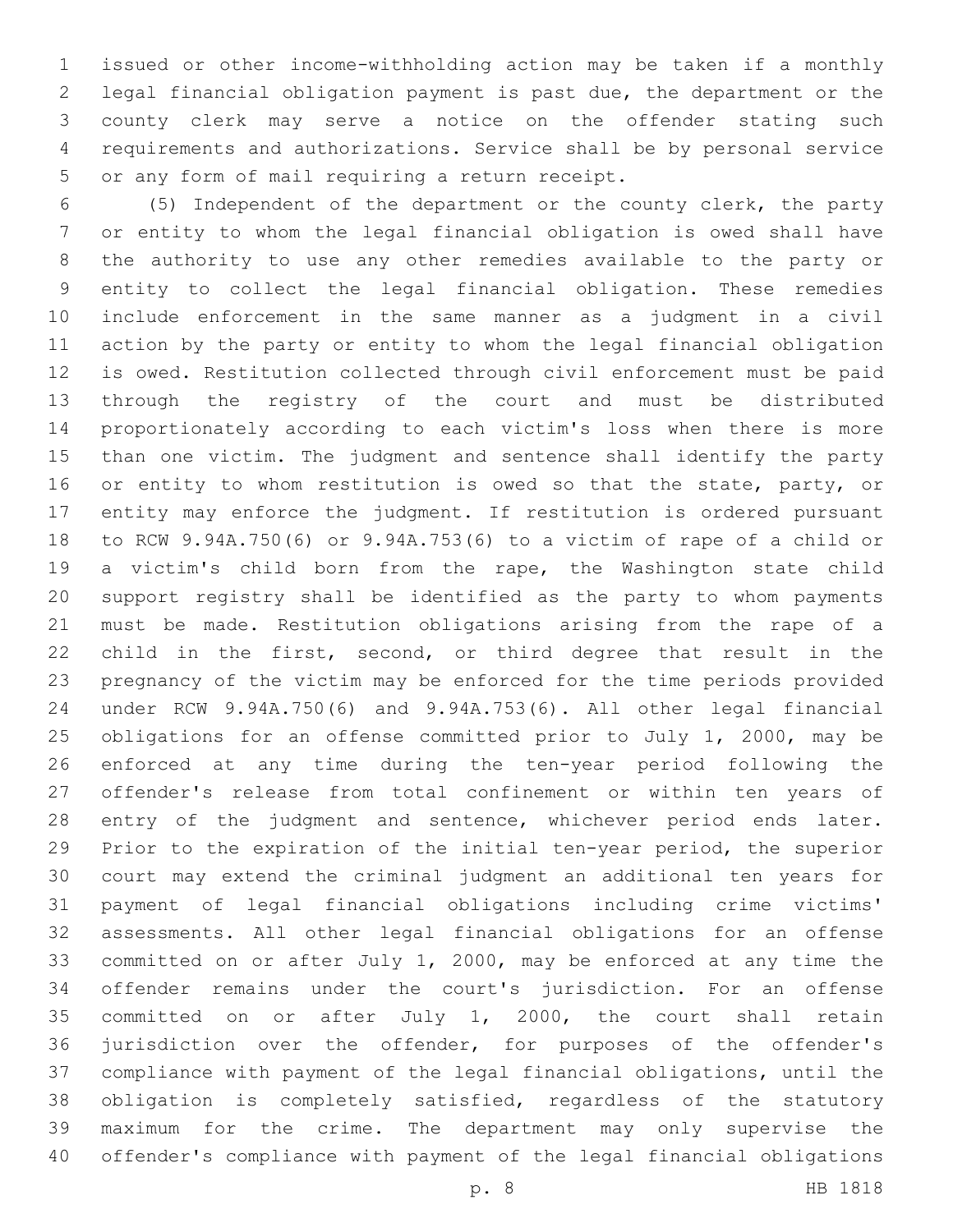issued or other income-withholding action may be taken if a monthly legal financial obligation payment is past due, the department or the county clerk may serve a notice on the offender stating such requirements and authorizations. Service shall be by personal service 5 or any form of mail requiring a return receipt.

 (5) Independent of the department or the county clerk, the party or entity to whom the legal financial obligation is owed shall have the authority to use any other remedies available to the party or entity to collect the legal financial obligation. These remedies include enforcement in the same manner as a judgment in a civil action by the party or entity to whom the legal financial obligation is owed. Restitution collected through civil enforcement must be paid through the registry of the court and must be distributed proportionately according to each victim's loss when there is more than one victim. The judgment and sentence shall identify the party 16 or entity to whom restitution is owed so that the state, party, or entity may enforce the judgment. If restitution is ordered pursuant to RCW 9.94A.750(6) or 9.94A.753(6) to a victim of rape of a child or a victim's child born from the rape, the Washington state child support registry shall be identified as the party to whom payments must be made. Restitution obligations arising from the rape of a child in the first, second, or third degree that result in the pregnancy of the victim may be enforced for the time periods provided under RCW 9.94A.750(6) and 9.94A.753(6). All other legal financial obligations for an offense committed prior to July 1, 2000, may be enforced at any time during the ten-year period following the offender's release from total confinement or within ten years of 28 entry of the judgment and sentence, whichever period ends later. Prior to the expiration of the initial ten-year period, the superior court may extend the criminal judgment an additional ten years for payment of legal financial obligations including crime victims' assessments. All other legal financial obligations for an offense committed on or after July 1, 2000, may be enforced at any time the offender remains under the court's jurisdiction. For an offense committed on or after July 1, 2000, the court shall retain jurisdiction over the offender, for purposes of the offender's compliance with payment of the legal financial obligations, until the obligation is completely satisfied, regardless of the statutory maximum for the crime. The department may only supervise the offender's compliance with payment of the legal financial obligations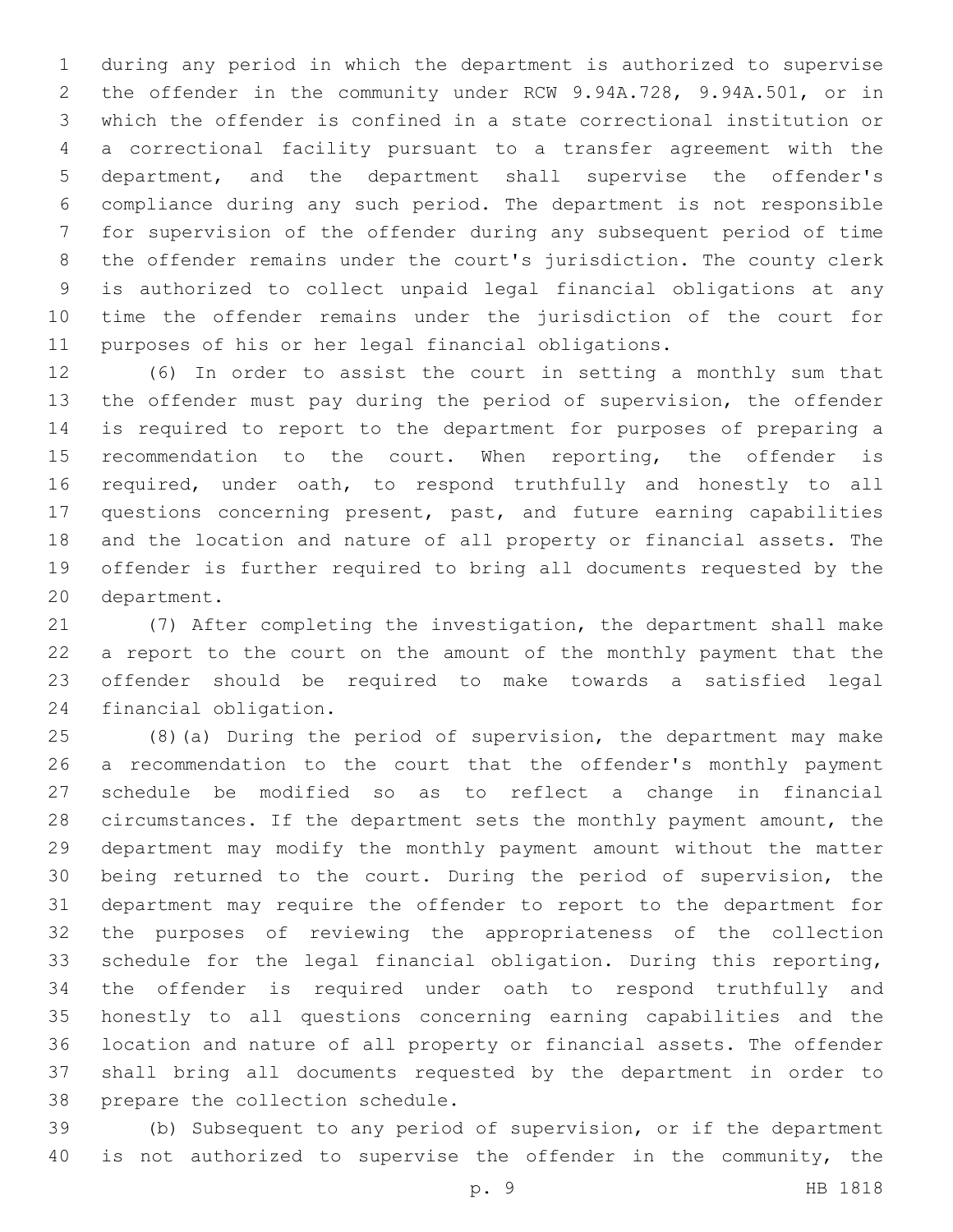during any period in which the department is authorized to supervise the offender in the community under RCW 9.94A.728, 9.94A.501, or in which the offender is confined in a state correctional institution or a correctional facility pursuant to a transfer agreement with the department, and the department shall supervise the offender's compliance during any such period. The department is not responsible for supervision of the offender during any subsequent period of time the offender remains under the court's jurisdiction. The county clerk is authorized to collect unpaid legal financial obligations at any time the offender remains under the jurisdiction of the court for purposes of his or her legal financial obligations.

 (6) In order to assist the court in setting a monthly sum that the offender must pay during the period of supervision, the offender is required to report to the department for purposes of preparing a recommendation to the court. When reporting, the offender is required, under oath, to respond truthfully and honestly to all questions concerning present, past, and future earning capabilities and the location and nature of all property or financial assets. The offender is further required to bring all documents requested by the 20 department.

 (7) After completing the investigation, the department shall make a report to the court on the amount of the monthly payment that the offender should be required to make towards a satisfied legal 24 financial obligation.

 (8)(a) During the period of supervision, the department may make a recommendation to the court that the offender's monthly payment schedule be modified so as to reflect a change in financial circumstances. If the department sets the monthly payment amount, the department may modify the monthly payment amount without the matter being returned to the court. During the period of supervision, the department may require the offender to report to the department for the purposes of reviewing the appropriateness of the collection schedule for the legal financial obligation. During this reporting, the offender is required under oath to respond truthfully and honestly to all questions concerning earning capabilities and the location and nature of all property or financial assets. The offender shall bring all documents requested by the department in order to 38 prepare the collection schedule.

 (b) Subsequent to any period of supervision, or if the department 40 is not authorized to supervise the offender in the community, the

p. 9 HB 1818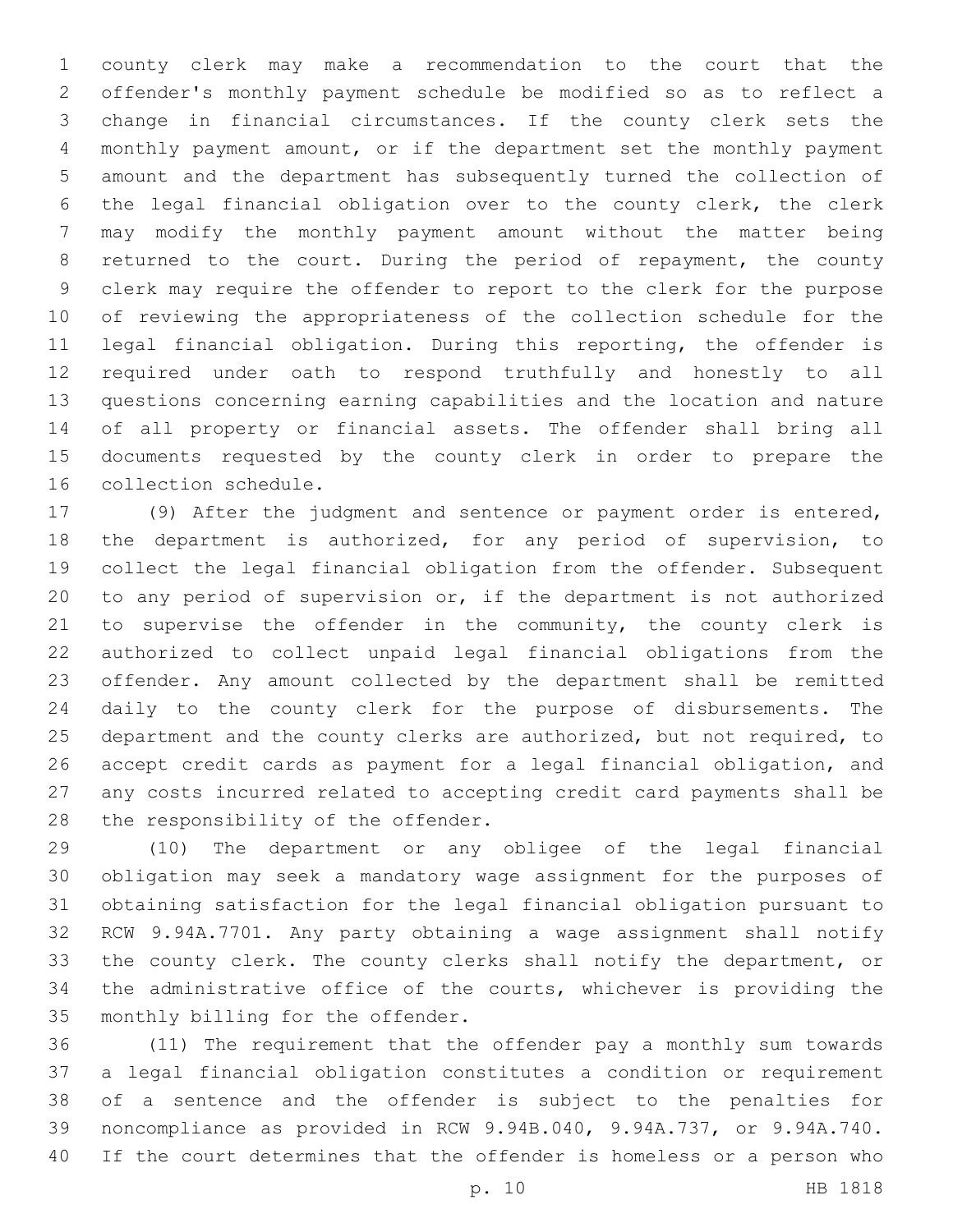county clerk may make a recommendation to the court that the offender's monthly payment schedule be modified so as to reflect a change in financial circumstances. If the county clerk sets the monthly payment amount, or if the department set the monthly payment amount and the department has subsequently turned the collection of the legal financial obligation over to the county clerk, the clerk may modify the monthly payment amount without the matter being returned to the court. During the period of repayment, the county clerk may require the offender to report to the clerk for the purpose of reviewing the appropriateness of the collection schedule for the legal financial obligation. During this reporting, the offender is required under oath to respond truthfully and honestly to all questions concerning earning capabilities and the location and nature of all property or financial assets. The offender shall bring all documents requested by the county clerk in order to prepare the 16 collection schedule.

 (9) After the judgment and sentence or payment order is entered, the department is authorized, for any period of supervision, to collect the legal financial obligation from the offender. Subsequent to any period of supervision or, if the department is not authorized to supervise the offender in the community, the county clerk is authorized to collect unpaid legal financial obligations from the offender. Any amount collected by the department shall be remitted daily to the county clerk for the purpose of disbursements. The department and the county clerks are authorized, but not required, to accept credit cards as payment for a legal financial obligation, and any costs incurred related to accepting credit card payments shall be 28 the responsibility of the offender.

 (10) The department or any obligee of the legal financial obligation may seek a mandatory wage assignment for the purposes of obtaining satisfaction for the legal financial obligation pursuant to RCW 9.94A.7701. Any party obtaining a wage assignment shall notify the county clerk. The county clerks shall notify the department, or the administrative office of the courts, whichever is providing the 35 monthly billing for the offender.

 (11) The requirement that the offender pay a monthly sum towards a legal financial obligation constitutes a condition or requirement of a sentence and the offender is subject to the penalties for noncompliance as provided in RCW 9.94B.040, 9.94A.737, or 9.94A.740. If the court determines that the offender is homeless or a person who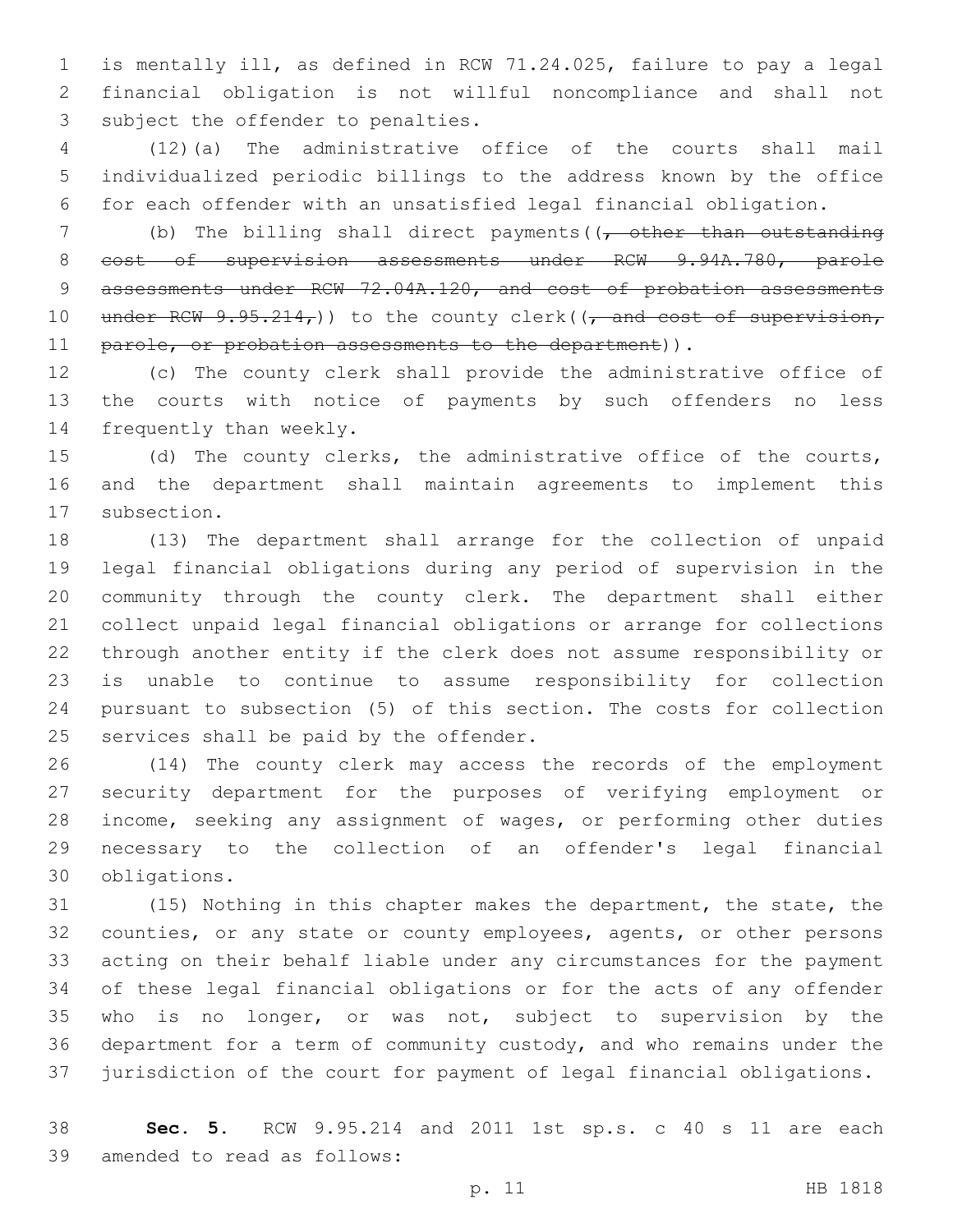is mentally ill, as defined in RCW 71.24.025, failure to pay a legal financial obligation is not willful noncompliance and shall not 3 subject the offender to penalties.

 (12)(a) The administrative office of the courts shall mail individualized periodic billings to the address known by the office for each offender with an unsatisfied legal financial obligation.

7 (b) The billing shall direct payments((, other than outstanding 8 cost of supervision assessments under RCW 9.94A.780, parole 9 assessments under RCW 72.04A.120, and cost of probation assessments 10 under RCW  $9.95.214<sub>r</sub>$ )) to the county clerk(( $\frac{1}{r}$  and cost of supervision, 11 parole, or probation assessments to the department)).

 (c) The county clerk shall provide the administrative office of the courts with notice of payments by such offenders no less 14 frequently than weekly.

 (d) The county clerks, the administrative office of the courts, and the department shall maintain agreements to implement this 17 subsection.

 (13) The department shall arrange for the collection of unpaid legal financial obligations during any period of supervision in the community through the county clerk. The department shall either collect unpaid legal financial obligations or arrange for collections through another entity if the clerk does not assume responsibility or is unable to continue to assume responsibility for collection pursuant to subsection (5) of this section. The costs for collection 25 services shall be paid by the offender.

 (14) The county clerk may access the records of the employment security department for the purposes of verifying employment or income, seeking any assignment of wages, or performing other duties necessary to the collection of an offender's legal financial 30 obligations.

 (15) Nothing in this chapter makes the department, the state, the counties, or any state or county employees, agents, or other persons acting on their behalf liable under any circumstances for the payment of these legal financial obligations or for the acts of any offender who is no longer, or was not, subject to supervision by the department for a term of community custody, and who remains under the jurisdiction of the court for payment of legal financial obligations.

 **Sec. 5.** RCW 9.95.214 and 2011 1st sp.s. c 40 s 11 are each 39 amended to read as follows: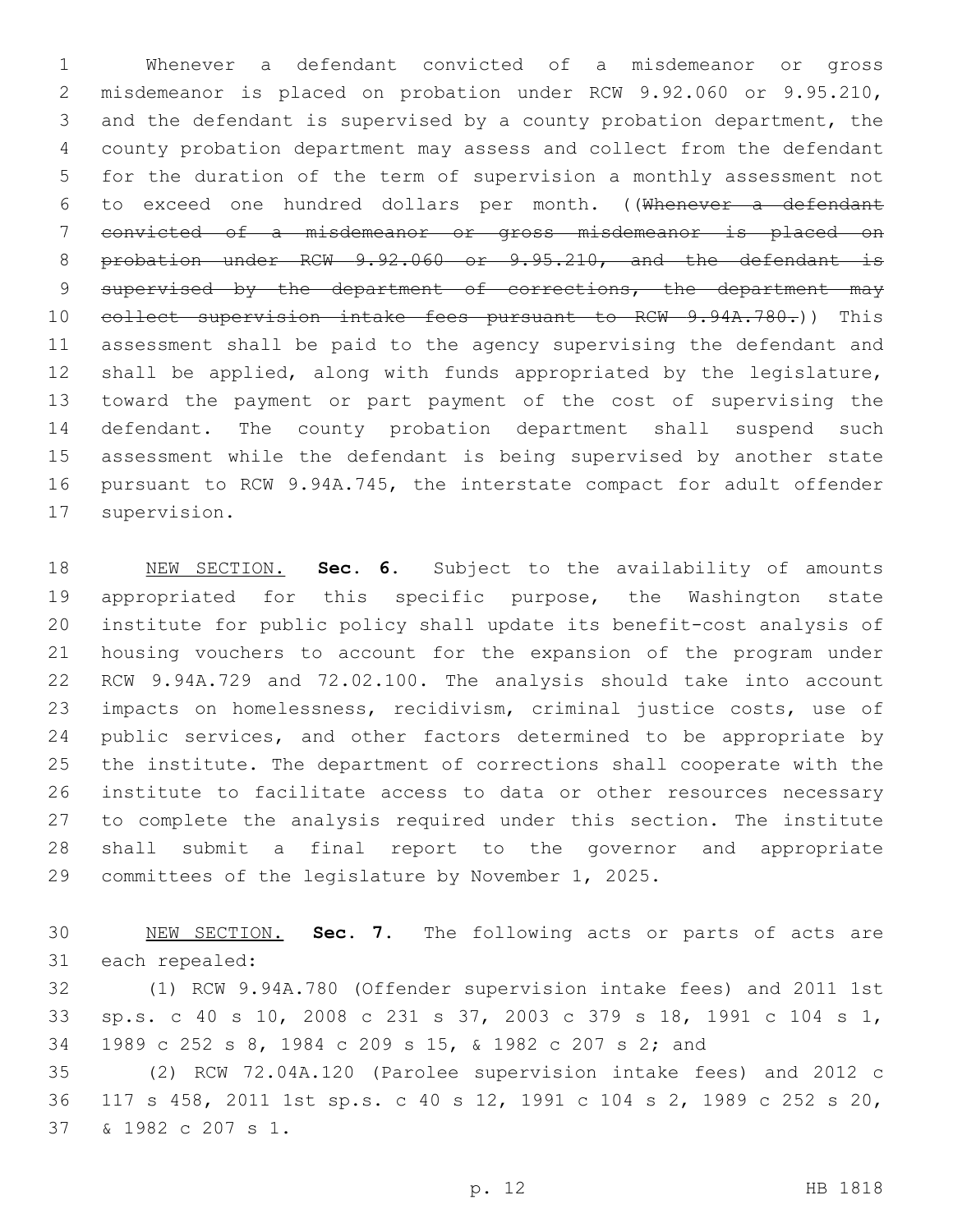Whenever a defendant convicted of a misdemeanor or gross misdemeanor is placed on probation under RCW 9.92.060 or 9.95.210, and the defendant is supervised by a county probation department, the county probation department may assess and collect from the defendant for the duration of the term of supervision a monthly assessment not to exceed one hundred dollars per month. ((Whenever a defendant convicted of a misdemeanor or gross misdemeanor is placed on probation under RCW 9.92.060 or 9.95.210, and the defendant is 9 supervised by the department of corrections, the department may 10 collect supervision intake fees pursuant to RCW 9.94A.780.)) This assessment shall be paid to the agency supervising the defendant and shall be applied, along with funds appropriated by the legislature, toward the payment or part payment of the cost of supervising the defendant. The county probation department shall suspend such assessment while the defendant is being supervised by another state pursuant to RCW 9.94A.745, the interstate compact for adult offender 17 supervision.

 NEW SECTION. **Sec. 6.** Subject to the availability of amounts appropriated for this specific purpose, the Washington state institute for public policy shall update its benefit-cost analysis of housing vouchers to account for the expansion of the program under RCW 9.94A.729 and 72.02.100. The analysis should take into account impacts on homelessness, recidivism, criminal justice costs, use of 24 public services, and other factors determined to be appropriate by the institute. The department of corrections shall cooperate with the institute to facilitate access to data or other resources necessary to complete the analysis required under this section. The institute shall submit a final report to the governor and appropriate committees of the legislature by November 1, 2025.

 NEW SECTION. **Sec. 7.** The following acts or parts of acts are each repealed:

 (1) RCW 9.94A.780 (Offender supervision intake fees) and 2011 1st sp.s. c 40 s 10, 2008 c 231 s 37, 2003 c 379 s 18, 1991 c 104 s 1, 1989 c 252 s 8, 1984 c 209 s 15, & 1982 c 207 s 2; and

 (2) RCW 72.04A.120 (Parolee supervision intake fees) and 2012 c 117 s 458, 2011 1st sp.s. c 40 s 12, 1991 c 104 s 2, 1989 c 252 s 20, & 1982 c 207 s 1.37